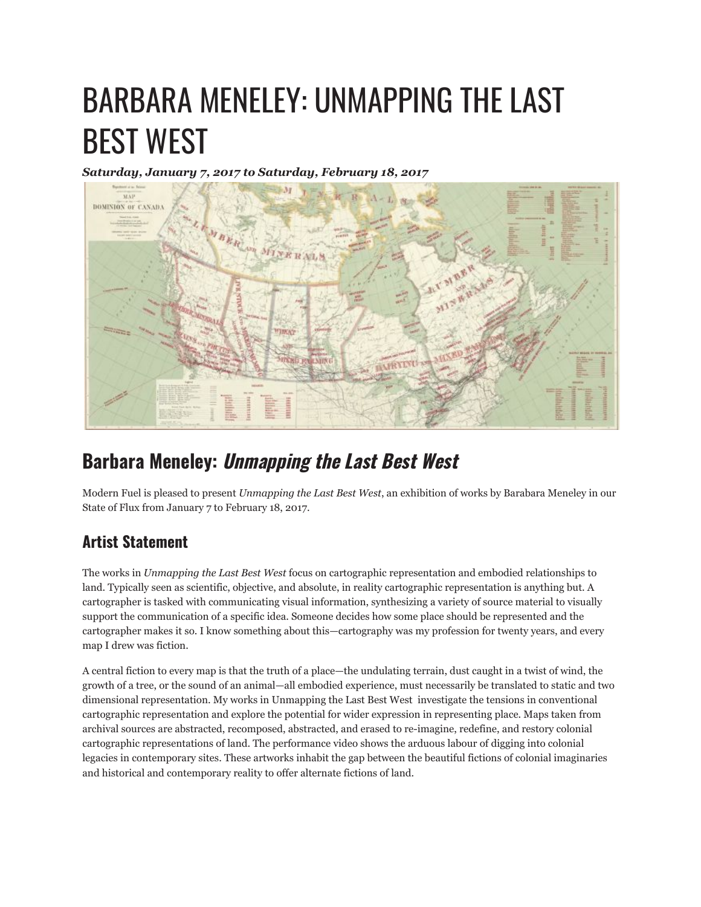## BARBARA MENELEY: UNMAPPING THE LAST BEST WEST

*Saturday, January 7, 2017 to Saturday, February 18, 2017*



## **Barbara Meneley: Unmapping the Last Best West**

Modern Fuel is pleased to present *Unmapping the Last Best West*, an exhibition of works by Barabara Meneley in our State of Flux from January 7 to February 18, 2017.

## **Artist Statement**

The works in *Unmapping the Last Best West* focus on cartographic representation and embodied relationships to land. Typically seen as scientific, objective, and absolute, in reality cartographic representation is anything but. A cartographer is tasked with communicating visual information, synthesizing a variety of source material to visually support the communication of a specific idea. Someone decides how some place should be represented and the cartographer makes it so. I know something about this—cartography was my profession for twenty years, and every map I drew was fiction.

A central fiction to every map is that the truth of a place—the undulating terrain, dust caught in a twist of wind, the growth of a tree, or the sound of an animal—all embodied experience, must necessarily be translated to static and two dimensional representation. My works in Unmapping the Last Best West investigate the tensions in conventional cartographic representation and explore the potential for wider expression in representing place. Maps taken from archival sources are abstracted, recomposed, abstracted, and erased to re-imagine, redefine, and restory colonial cartographic representations of land. The performance video shows the arduous labour of digging into colonial legacies in contemporary sites. These artworks inhabit the gap between the beautiful fictions of colonial imaginaries and historical and contemporary reality to offer alternate fictions of land.